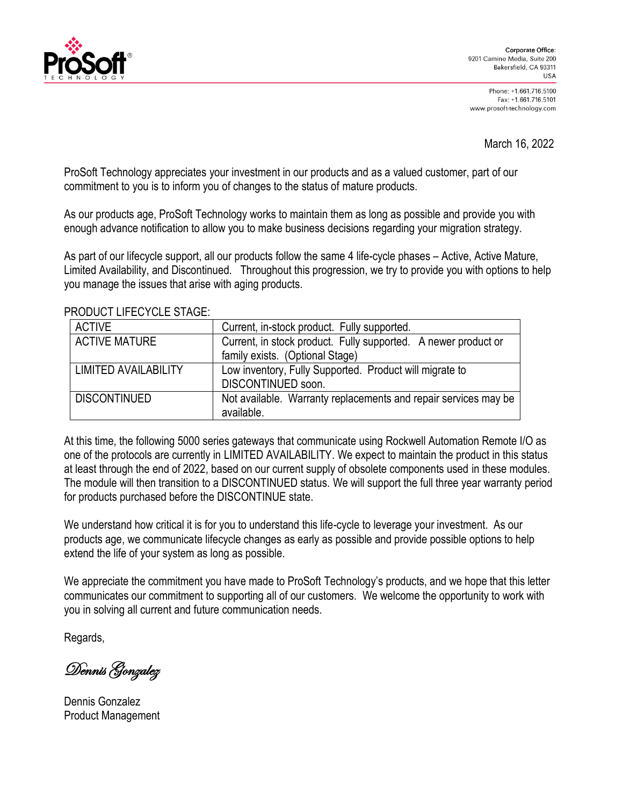

Phone: +1.661.716.5100 Fax: +1.661.716.5101 www.prosoft-technology.com

March 16, 2022

ProSoft Technology appreciates your investment in our products and as a valued customer, part of our commitment to you is to inform you of changes to the status of mature products.

As our products age, ProSoft Technology works to maintain them as long as possible and provide you with enough advance notification to allow you to make business decisions regarding your migration strategy.

As part of our lifecycle support, all our products follow the same 4 life-cycle phases – Active, Active Mature, Limited Availability, and Discontinued. Throughout this progression, we try to provide you with options to help you manage the issues that arise with aging products.

| <b>ACTIVE</b>               | Current, in-stock product. Fully supported.                     |
|-----------------------------|-----------------------------------------------------------------|
| <b>ACTIVE MATURE</b>        | Current, in stock product. Fully supported. A newer product or  |
|                             | family exists. (Optional Stage)                                 |
| <b>LIMITED AVAILABILITY</b> | Low inventory, Fully Supported. Product will migrate to         |
|                             | DISCONTINUED soon.                                              |
| <b>DISCONTINUED</b>         | Not available. Warranty replacements and repair services may be |
|                             | available.                                                      |

PRODUCT LIFECYCLE STAGE:

At this time, the following 5000 series gateways that communicate using Rockwell Automation Remote I/O as one of the protocols are currently in LIMITED AVAILABILITY. We expect to maintain the product in this status at least through the end of 2022, based on our current supply of obsolete components used in these modules. The module will then transition to a DISCONTINUED status. We will support the full three year warranty period for products purchased before the DISCONTINUE state.

We understand how critical it is for you to understand this life-cycle to leverage your investment. As our products age, we communicate lifecycle changes as early as possible and provide possible options to help extend the life of your system as long as possible.

We appreciate the commitment you have made to ProSoft Technology's products, and we hope that this letter communicates our commitment to supporting all of our customers. We welcome the opportunity to work with you in solving all current and future communication needs.

Regards,

Dennis Gonzalez

Dennis Gonzalez Product Management